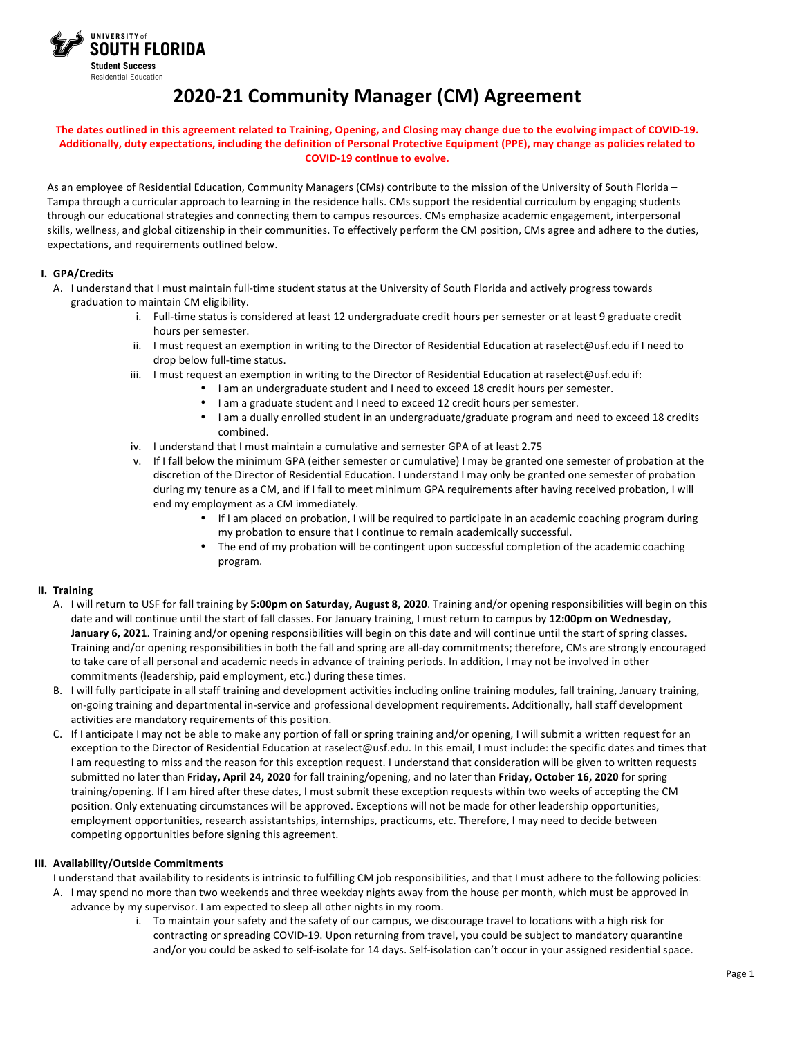

# **2020-21 Community Manager (CM) Agreement**

#### The dates outlined in this agreement related to Training, Opening, and Closing may change due to the evolving impact of COVID-19. Additionally, duty expectations, including the definition of Personal Protective Equipment (PPE), may change as policies related to **COVID-19 continue to evolve.**

As an employee of Residential Education, Community Managers (CMs) contribute to the mission of the University of South Florida – Tampa through a curricular approach to learning in the residence halls. CMs support the residential curriculum by engaging students through our educational strategies and connecting them to campus resources. CMs emphasize academic engagement, interpersonal skills, wellness, and global citizenship in their communities. To effectively perform the CM position, CMs agree and adhere to the duties, expectations, and requirements outlined below.

## **I. GPA/Credits**

- A. I understand that I must maintain full-time student status at the University of South Florida and actively progress towards graduation to maintain CM eligibility.
	- i. Full-time status is considered at least 12 undergraduate credit hours per semester or at least 9 graduate credit hours per semester.
	- ii. I must request an exemption in writing to the Director of Residential Education at raselect@usf.edu if I need to drop below full-time status.
	- iii. I must request an exemption in writing to the Director of Residential Education at raselect@usf.edu if:
		- I am an undergraduate student and I need to exceed 18 credit hours per semester.
			- I am a graduate student and I need to exceed 12 credit hours per semester.
		- I am a dually enrolled student in an undergraduate/graduate program and need to exceed 18 credits combined.
	- iv. I understand that I must maintain a cumulative and semester GPA of at least 2.75
	- v. If I fall below the minimum GPA (either semester or cumulative) I may be granted one semester of probation at the discretion of the Director of Residential Education. I understand I may only be granted one semester of probation during my tenure as a CM, and if I fail to meet minimum GPA requirements after having received probation, I will end my employment as a CM immediately.
		- If I am placed on probation, I will be required to participate in an academic coaching program during my probation to ensure that I continue to remain academically successful.
		- The end of my probation will be contingent upon successful completion of the academic coaching program.

# **II. Training**

- A. I will return to USF for fall training by **5:00pm on Saturday, August 8, 2020**. Training and/or opening responsibilities will begin on this date and will continue until the start of fall classes. For January training, I must return to campus by **12:00pm on Wednesday, January 6, 2021**. Training and/or opening responsibilities will begin on this date and will continue until the start of spring classes. Training and/or opening responsibilities in both the fall and spring are all-day commitments; therefore, CMs are strongly encouraged to take care of all personal and academic needs in advance of training periods. In addition, I may not be involved in other commitments (leadership, paid employment, etc.) during these times.
- B. I will fully participate in all staff training and development activities including online training modules, fall training, January training, on-going training and departmental in-service and professional development requirements. Additionally, hall staff development activities are mandatory requirements of this position.
- C. If I anticipate I may not be able to make any portion of fall or spring training and/or opening, I will submit a written request for an exception to the Director of Residential Education at raselect@usf.edu. In this email, I must include: the specific dates and times that I am requesting to miss and the reason for this exception request. I understand that consideration will be given to written requests submitted no later than **Friday, April 24, 2020** for fall training/opening, and no later than **Friday, October 16, 2020** for spring training/opening. If I am hired after these dates, I must submit these exception requests within two weeks of accepting the CM position. Only extenuating circumstances will be approved. Exceptions will not be made for other leadership opportunities, employment opportunities, research assistantships, internships, practicums, etc. Therefore, I may need to decide between competing opportunities before signing this agreement.

#### **III. Availability/Outside Commitments**

- I understand that availability to residents is intrinsic to fulfilling CM job responsibilities, and that I must adhere to the following policies:
- A. I may spend no more than two weekends and three weekday nights away from the house per month, which must be approved in advance by my supervisor. I am expected to sleep all other nights in my room.
	- i. To maintain your safety and the safety of our campus, we discourage travel to locations with a high risk for contracting or spreading COVID-19. Upon returning from travel, you could be subject to mandatory quarantine and/or you could be asked to self-isolate for 14 days. Self-isolation can't occur in your assigned residential space.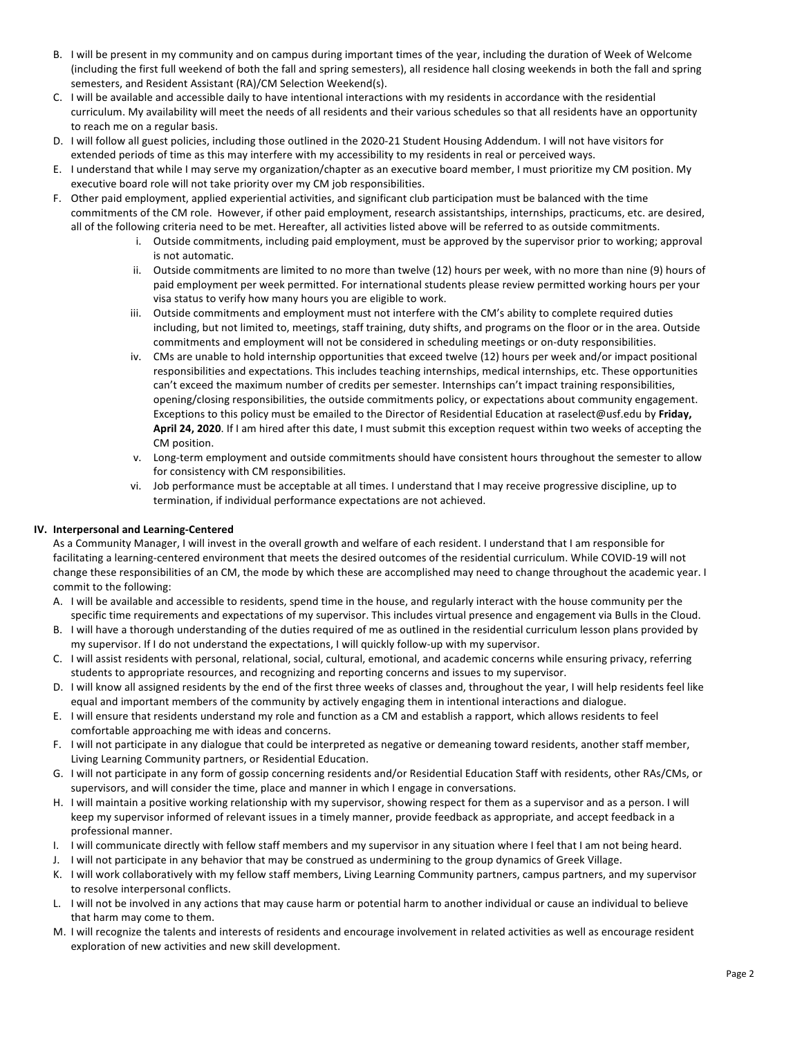- B. I will be present in my community and on campus during important times of the year, including the duration of Week of Welcome (including the first full weekend of both the fall and spring semesters), all residence hall closing weekends in both the fall and spring semesters, and Resident Assistant (RA)/CM Selection Weekend(s).
- C. I will be available and accessible daily to have intentional interactions with my residents in accordance with the residential curriculum. My availability will meet the needs of all residents and their various schedules so that all residents have an opportunity to reach me on a regular basis.
- D. I will follow all guest policies, including those outlined in the 2020-21 Student Housing Addendum. I will not have visitors for extended periods of time as this may interfere with my accessibility to my residents in real or perceived ways.
- E. I understand that while I may serve my organization/chapter as an executive board member, I must prioritize my CM position. My executive board role will not take priority over my CM job responsibilities.
- F. Other paid employment, applied experiential activities, and significant club participation must be balanced with the time commitments of the CM role. However, if other paid employment, research assistantships, internships, practicums, etc. are desired, all of the following criteria need to be met. Hereafter, all activities listed above will be referred to as outside commitments.
	- i. Outside commitments, including paid employment, must be approved by the supervisor prior to working; approval is not automatic.
	- ii. Outside commitments are limited to no more than twelve (12) hours per week, with no more than nine (9) hours of paid employment per week permitted. For international students please review permitted working hours per your visa status to verify how many hours you are eligible to work.
	- iii. Outside commitments and employment must not interfere with the CM's ability to complete required duties including, but not limited to, meetings, staff training, duty shifts, and programs on the floor or in the area. Outside commitments and employment will not be considered in scheduling meetings or on-duty responsibilities.
	- iv. CMs are unable to hold internship opportunities that exceed twelve (12) hours per week and/or impact positional responsibilities and expectations. This includes teaching internships, medical internships, etc. These opportunities can't exceed the maximum number of credits per semester. Internships can't impact training responsibilities, opening/closing responsibilities, the outside commitments policy, or expectations about community engagement. Exceptions to this policy must be emailed to the Director of Residential Education at raselect@usf.edu by **Friday, April 24, 2020**. If I am hired after this date, I must submit this exception request within two weeks of accepting the CM position.
	- v. Long-term employment and outside commitments should have consistent hours throughout the semester to allow for consistency with CM responsibilities.
	- vi. Job performance must be acceptable at all times. I understand that I may receive progressive discipline, up to termination, if individual performance expectations are not achieved.

# **IV. Interpersonal and Learning-Centered**

As a Community Manager, I will invest in the overall growth and welfare of each resident. I understand that I am responsible for facilitating a learning-centered environment that meets the desired outcomes of the residential curriculum. While COVID-19 will not change these responsibilities of an CM, the mode by which these are accomplished may need to change throughout the academic year. I commit to the following:

- A. I will be available and accessible to residents, spend time in the house, and regularly interact with the house community per the specific time requirements and expectations of my supervisor. This includes virtual presence and engagement via Bulls in the Cloud.
- B. I will have a thorough understanding of the duties required of me as outlined in the residential curriculum lesson plans provided by my supervisor. If I do not understand the expectations, I will quickly follow-up with my supervisor.
- C. I will assist residents with personal, relational, social, cultural, emotional, and academic concerns while ensuring privacy, referring students to appropriate resources, and recognizing and reporting concerns and issues to my supervisor.
- D. I will know all assigned residents by the end of the first three weeks of classes and, throughout the year, I will help residents feel like equal and important members of the community by actively engaging them in intentional interactions and dialogue.
- E. I will ensure that residents understand my role and function as a CM and establish a rapport, which allows residents to feel comfortable approaching me with ideas and concerns.
- F. I will not participate in any dialogue that could be interpreted as negative or demeaning toward residents, another staff member, Living Learning Community partners, or Residential Education.
- G. I will not participate in any form of gossip concerning residents and/or Residential Education Staff with residents, other RAs/CMs, or supervisors, and will consider the time, place and manner in which I engage in conversations.
- H. I will maintain a positive working relationship with my supervisor, showing respect for them as a supervisor and as a person. I will keep my supervisor informed of relevant issues in a timely manner, provide feedback as appropriate, and accept feedback in a professional manner.
- I. I will communicate directly with fellow staff members and my supervisor in any situation where I feel that I am not being heard.
- J. I will not participate in any behavior that may be construed as undermining to the group dynamics of Greek Village.
- K. I will work collaboratively with my fellow staff members, Living Learning Community partners, campus partners, and my supervisor to resolve interpersonal conflicts.
- L. I will not be involved in any actions that may cause harm or potential harm to another individual or cause an individual to believe that harm may come to them.
- M. I will recognize the talents and interests of residents and encourage involvement in related activities as well as encourage resident exploration of new activities and new skill development.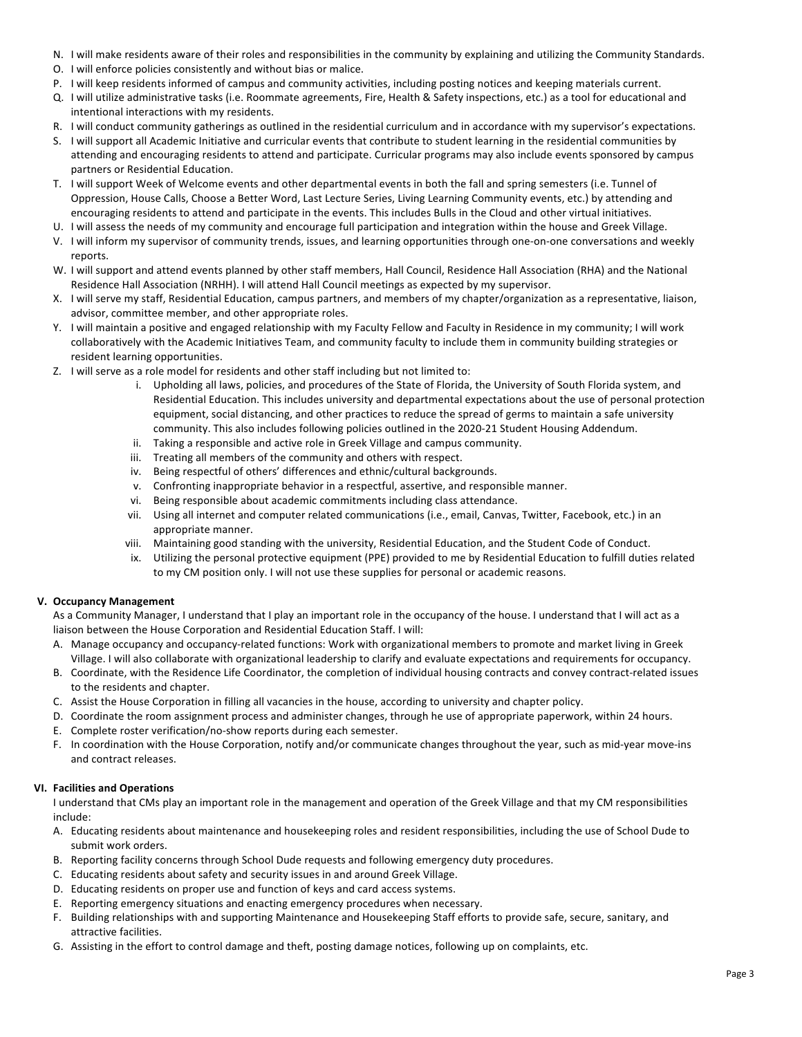- N. I will make residents aware of their roles and responsibilities in the community by explaining and utilizing the Community Standards.
- O. I will enforce policies consistently and without bias or malice.
- P. I will keep residents informed of campus and community activities, including posting notices and keeping materials current.
- Q. I will utilize administrative tasks (i.e. Roommate agreements, Fire, Health & Safety inspections, etc.) as a tool for educational and intentional interactions with my residents.
- R. I will conduct community gatherings as outlined in the residential curriculum and in accordance with my supervisor's expectations.
- S. I will support all Academic Initiative and curricular events that contribute to student learning in the residential communities by attending and encouraging residents to attend and participate. Curricular programs may also include events sponsored by campus partners or Residential Education.
- T. I will support Week of Welcome events and other departmental events in both the fall and spring semesters (i.e. Tunnel of Oppression, House Calls, Choose a Better Word, Last Lecture Series, Living Learning Community events, etc.) by attending and encouraging residents to attend and participate in the events. This includes Bulls in the Cloud and other virtual initiatives.
- U. I will assess the needs of my community and encourage full participation and integration within the house and Greek Village.
- V. I will inform my supervisor of community trends, issues, and learning opportunities through one-on-one conversations and weekly reports.
- W. I will support and attend events planned by other staff members, Hall Council, Residence Hall Association (RHA) and the National Residence Hall Association (NRHH). I will attend Hall Council meetings as expected by my supervisor.
- X. I will serve my staff, Residential Education, campus partners, and members of my chapter/organization as a representative, liaison, advisor, committee member, and other appropriate roles.
- Y. I will maintain a positive and engaged relationship with my Faculty Fellow and Faculty in Residence in my community; I will work collaboratively with the Academic Initiatives Team, and community faculty to include them in community building strategies or resident learning opportunities.
- Z. I will serve as a role model for residents and other staff including but not limited to:
	- i. Upholding all laws, policies, and procedures of the State of Florida, the University of South Florida system, and Residential Education. This includes university and departmental expectations about the use of personal protection equipment, social distancing, and other practices to reduce the spread of germs to maintain a safe university community. This also includes following policies outlined in the 2020-21 Student Housing Addendum.
	- ii. Taking a responsible and active role in Greek Village and campus community.
	- iii. Treating all members of the community and others with respect.
	- iv. Being respectful of others' differences and ethnic/cultural backgrounds.
	- v. Confronting inappropriate behavior in a respectful, assertive, and responsible manner.
	- vi. Being responsible about academic commitments including class attendance.
	- vii. Using all internet and computer related communications (i.e., email, Canvas, Twitter, Facebook, etc.) in an appropriate manner.
	- viii. Maintaining good standing with the university, Residential Education, and the Student Code of Conduct.
	- ix. Utilizing the personal protective equipment (PPE) provided to me by Residential Education to fulfill duties related to my CM position only. I will not use these supplies for personal or academic reasons.

# **V. Occupancy Management**

As a Community Manager, I understand that I play an important role in the occupancy of the house. I understand that I will act as a liaison between the House Corporation and Residential Education Staff. I will:

- A. Manage occupancy and occupancy-related functions: Work with organizational members to promote and market living in Greek Village. I will also collaborate with organizational leadership to clarify and evaluate expectations and requirements for occupancy.
- B. Coordinate, with the Residence Life Coordinator, the completion of individual housing contracts and convey contract-related issues to the residents and chapter.
- C. Assist the House Corporation in filling all vacancies in the house, according to university and chapter policy.
- D. Coordinate the room assignment process and administer changes, through he use of appropriate paperwork, within 24 hours.
- E. Complete roster verification/no-show reports during each semester.
- F. In coordination with the House Corporation, notify and/or communicate changes throughout the year, such as mid-year move-ins and contract releases.

# **VI. Facilities and Operations**

I understand that CMs play an important role in the management and operation of the Greek Village and that my CM responsibilities include:

- A. Educating residents about maintenance and housekeeping roles and resident responsibilities, including the use of School Dude to submit work orders.
- B. Reporting facility concerns through School Dude requests and following emergency duty procedures.
- C. Educating residents about safety and security issues in and around Greek Village.
- D. Educating residents on proper use and function of keys and card access systems.
- E. Reporting emergency situations and enacting emergency procedures when necessary.
- F. Building relationships with and supporting Maintenance and Housekeeping Staff efforts to provide safe, secure, sanitary, and attractive facilities.
- G. Assisting in the effort to control damage and theft, posting damage notices, following up on complaints, etc.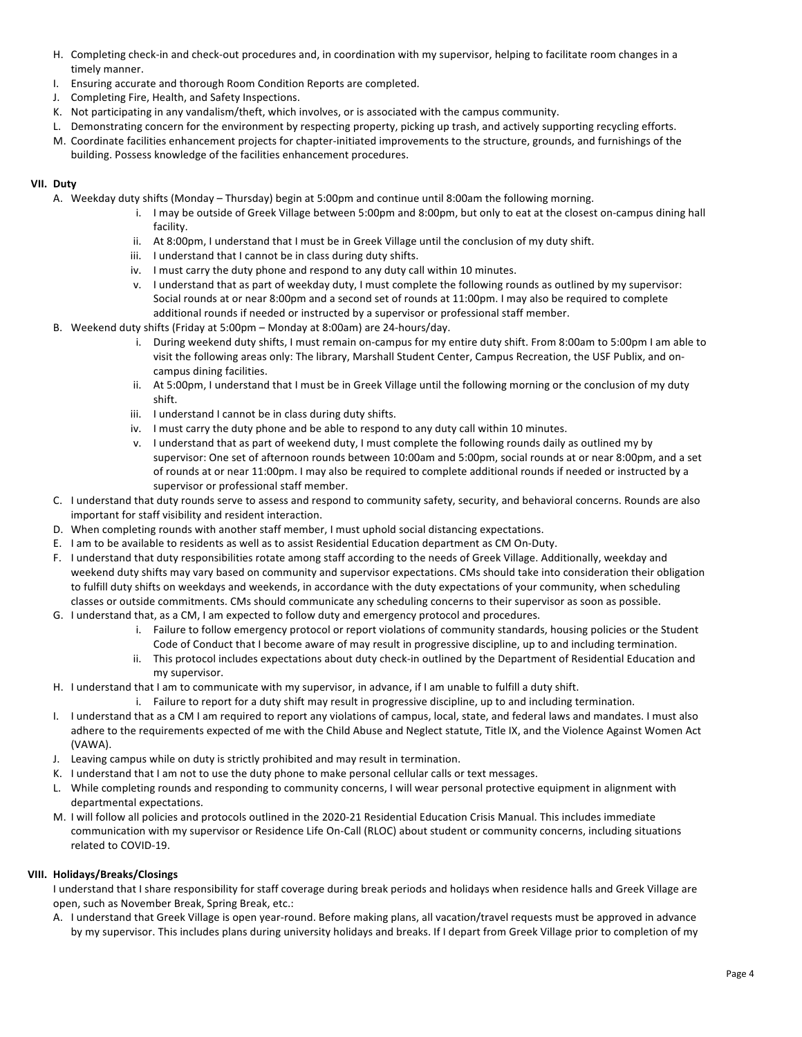- H. Completing check-in and check-out procedures and, in coordination with my supervisor, helping to facilitate room changes in a timely manner.
- I. Ensuring accurate and thorough Room Condition Reports are completed.
- J. Completing Fire, Health, and Safety Inspections.
- K. Not participating in any vandalism/theft, which involves, or is associated with the campus community.
- L. Demonstrating concern for the environment by respecting property, picking up trash, and actively supporting recycling efforts.
- M. Coordinate facilities enhancement projects for chapter-initiated improvements to the structure, grounds, and furnishings of the building. Possess knowledge of the facilities enhancement procedures.

# **VII. Duty**

- A. Weekday duty shifts (Monday Thursday) begin at 5:00pm and continue until 8:00am the following morning.
	- i. I may be outside of Greek Village between 5:00pm and 8:00pm, but only to eat at the closest on-campus dining hall facility.
	- ii. At 8:00pm, I understand that I must be in Greek Village until the conclusion of my duty shift.
	- iii. I understand that I cannot be in class during duty shifts.
	- iv. I must carry the duty phone and respond to any duty call within 10 minutes.
	- v. I understand that as part of weekday duty, I must complete the following rounds as outlined by my supervisor: Social rounds at or near 8:00pm and a second set of rounds at 11:00pm. I may also be required to complete additional rounds if needed or instructed by a supervisor or professional staff member.
- B. Weekend duty shifts (Friday at 5:00pm Monday at 8:00am) are 24-hours/day.
	- i. During weekend duty shifts, I must remain on-campus for my entire duty shift. From 8:00am to 5:00pm I am able to visit the following areas only: The library, Marshall Student Center, Campus Recreation, the USF Publix, and oncampus dining facilities.
	- ii. At 5:00pm, I understand that I must be in Greek Village until the following morning or the conclusion of my duty shift.
	- iii. I understand I cannot be in class during duty shifts.
	- iv. I must carry the duty phone and be able to respond to any duty call within 10 minutes.
	- v. I understand that as part of weekend duty, I must complete the following rounds daily as outlined my by supervisor: One set of afternoon rounds between 10:00am and 5:00pm, social rounds at or near 8:00pm, and a set of rounds at or near 11:00pm. I may also be required to complete additional rounds if needed or instructed by a supervisor or professional staff member.
- C. I understand that duty rounds serve to assess and respond to community safety, security, and behavioral concerns. Rounds are also important for staff visibility and resident interaction.
- D. When completing rounds with another staff member, I must uphold social distancing expectations.
- E. I am to be available to residents as well as to assist Residential Education department as CM On-Duty.
- F. I understand that duty responsibilities rotate among staff according to the needs of Greek Village. Additionally, weekday and weekend duty shifts may vary based on community and supervisor expectations. CMs should take into consideration their obligation to fulfill duty shifts on weekdays and weekends, in accordance with the duty expectations of your community, when scheduling classes or outside commitments. CMs should communicate any scheduling concerns to their supervisor as soon as possible.
- G. I understand that, as a CM, I am expected to follow duty and emergency protocol and procedures.
	- i. Failure to follow emergency protocol or report violations of community standards, housing policies or the Student Code of Conduct that I become aware of may result in progressive discipline, up to and including termination.
	- ii. This protocol includes expectations about duty check-in outlined by the Department of Residential Education and my supervisor.
- H. I understand that I am to communicate with my supervisor, in advance, if I am unable to fulfill a duty shift.
	- i. Failure to report for a duty shift may result in progressive discipline, up to and including termination.
- I. I understand that as a CM I am required to report any violations of campus, local, state, and federal laws and mandates. I must also adhere to the requirements expected of me with the Child Abuse and Neglect statute, Title IX, and the Violence Against Women Act (VAWA).
- J. Leaving campus while on duty is strictly prohibited and may result in termination.
- K. I understand that I am not to use the duty phone to make personal cellular calls or text messages.
- L. While completing rounds and responding to community concerns, I will wear personal protective equipment in alignment with departmental expectations.
- M. I will follow all policies and protocols outlined in the 2020-21 Residential Education Crisis Manual. This includes immediate communication with my supervisor or Residence Life On-Call (RLOC) about student or community concerns, including situations related to COVID-19.

# **VIII. Holidays/Breaks/Closings**

I understand that I share responsibility for staff coverage during break periods and holidays when residence halls and Greek Village are open, such as November Break, Spring Break, etc.: 

A. I understand that Greek Village is open year-round. Before making plans, all vacation/travel requests must be approved in advance by my supervisor. This includes plans during university holidays and breaks. If I depart from Greek Village prior to completion of my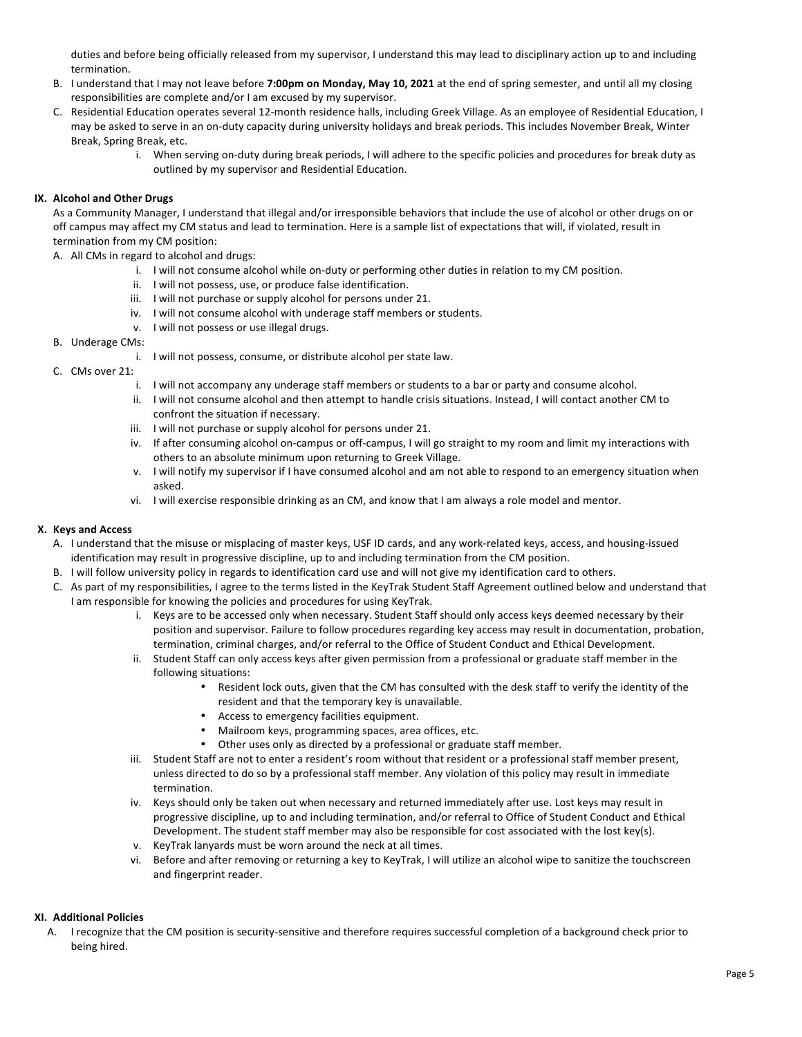duties and before being officially released from my supervisor, I understand this may lead to disciplinary action up to and including termination.

- B. I understand that I may not leave before **7:00pm on Monday, May 10, 2021** at the end of spring semester, and until all my closing responsibilities are complete and/or I am excused by my supervisor.
- C. Residential Education operates several 12-month residence halls, including Greek Village. As an employee of Residential Education, I may be asked to serve in an on-duty capacity during university holidays and break periods. This includes November Break, Winter Break, Spring Break, etc.
	- i. When serving on-duty during break periods, I will adhere to the specific policies and procedures for break duty as outlined by my supervisor and Residential Education.

## **IX. Alcohol and Other Drugs**

As a Community Manager, I understand that illegal and/or irresponsible behaviors that include the use of alcohol or other drugs on or off campus may affect my CM status and lead to termination. Here is a sample list of expectations that will, if violated, result in termination from my CM position:

A. All CMs in regard to alcohol and drugs:

- i. I will not consume alcohol while on-duty or performing other duties in relation to my CM position.
- ii. I will not possess, use, or produce false identification.
- iii. I will not purchase or supply alcohol for persons under 21.
- iv. I will not consume alcohol with underage staff members or students.
- v. I will not possess or use illegal drugs.

## B. Underage CMs:

- i. I will not possess, consume, or distribute alcohol per state law.
- C. CMs over 21:
	- i. I will not accompany any underage staff members or students to a bar or party and consume alcohol.
	- ii. I will not consume alcohol and then attempt to handle crisis situations. Instead, I will contact another CM to confront the situation if necessary.
	- iii. I will not purchase or supply alcohol for persons under 21.
	- iv. If after consuming alcohol on-campus or off-campus, I will go straight to my room and limit my interactions with others to an absolute minimum upon returning to Greek Village.
	- v. I will notify my supervisor if I have consumed alcohol and am not able to respond to an emergency situation when asked.
	- vi. I will exercise responsible drinking as an CM, and know that I am always a role model and mentor.

# **X. Keys and Access**

- A. I understand that the misuse or misplacing of master keys, USF ID cards, and any work-related keys, access, and housing-issued identification may result in progressive discipline, up to and including termination from the CM position.
- B. I will follow university policy in regards to identification card use and will not give my identification card to others.
- C. As part of my responsibilities, I agree to the terms listed in the KeyTrak Student Staff Agreement outlined below and understand that I am responsible for knowing the policies and procedures for using KeyTrak.
	- i. Keys are to be accessed only when necessary. Student Staff should only access keys deemed necessary by their position and supervisor. Failure to follow procedures regarding key access may result in documentation, probation, termination, criminal charges, and/or referral to the Office of Student Conduct and Ethical Development.
	- ii. Student Staff can only access keys after given permission from a professional or graduate staff member in the following situations:
		- Resident lock outs, given that the CM has consulted with the desk staff to verify the identity of the resident and that the temporary key is unavailable.
		- Access to emergency facilities equipment.
		- Mailroom keys, programming spaces, area offices, etc.
		- Other uses only as directed by a professional or graduate staff member.
	- iii. Student Staff are not to enter a resident's room without that resident or a professional staff member present, unless directed to do so by a professional staff member. Any violation of this policy may result in immediate termination.
	- iv. Keys should only be taken out when necessary and returned immediately after use. Lost keys may result in progressive discipline, up to and including termination, and/or referral to Office of Student Conduct and Ethical Development. The student staff member may also be responsible for cost associated with the lost key(s).
	- v. KeyTrak lanyards must be worn around the neck at all times.
	- vi. Before and after removing or returning a key to KeyTrak, I will utilize an alcohol wipe to sanitize the touchscreen and fingerprint reader.

# **XI. Additional Policies**

A. I recognize that the CM position is security-sensitive and therefore requires successful completion of a background check prior to being hired.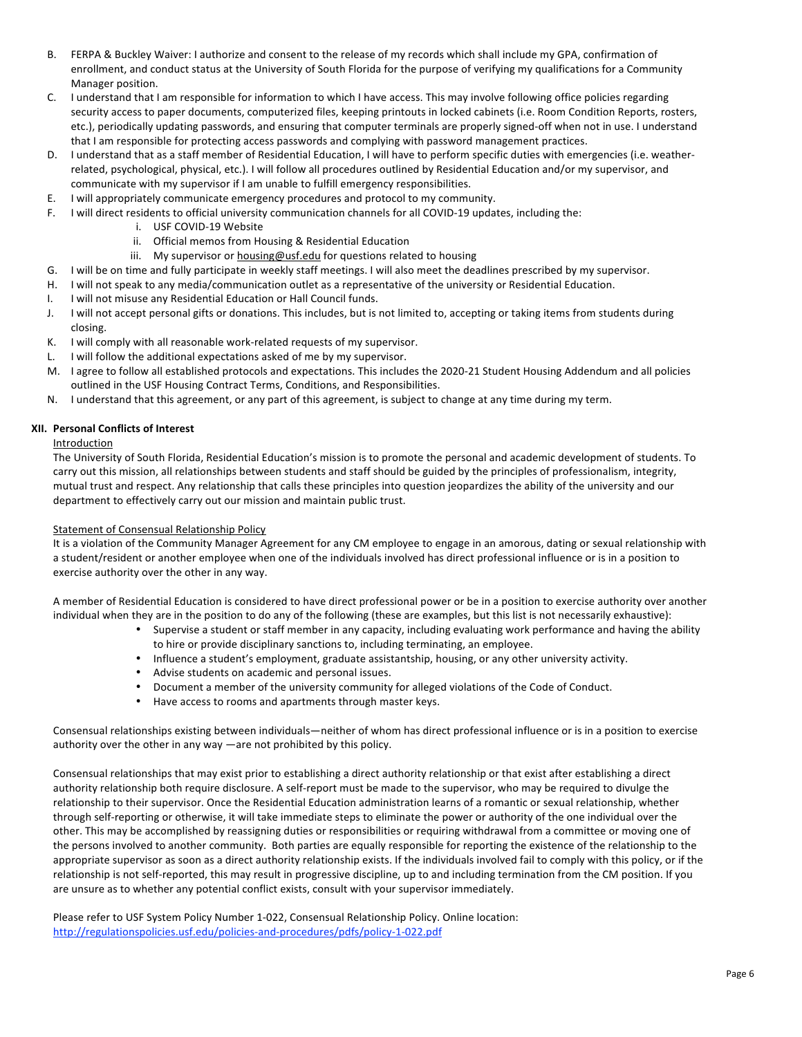- B. FERPA & Buckley Waiver: I authorize and consent to the release of my records which shall include my GPA, confirmation of enrollment, and conduct status at the University of South Florida for the purpose of verifying my qualifications for a Community Manager position.
- C. I understand that I am responsible for information to which I have access. This may involve following office policies regarding security access to paper documents, computerized files, keeping printouts in locked cabinets (i.e. Room Condition Reports, rosters, etc.), periodically updating passwords, and ensuring that computer terminals are properly signed-off when not in use. I understand that I am responsible for protecting access passwords and complying with password management practices.
- D. I understand that as a staff member of Residential Education, I will have to perform specific duties with emergencies (i.e. weatherrelated, psychological, physical, etc.). I will follow all procedures outlined by Residential Education and/or my supervisor, and communicate with my supervisor if I am unable to fulfill emergency responsibilities.
- E. I will appropriately communicate emergency procedures and protocol to my community.
- F. I will direct residents to official university communication channels for all COVID-19 updates, including the:
	- i. USF COVID-19 Website
	- ii. Official memos from Housing & Residential Education
	- iii. My supervisor or housing@usf.edu for questions related to housing
- G. I will be on time and fully participate in weekly staff meetings. I will also meet the deadlines prescribed by my supervisor.
- H. I will not speak to any media/communication outlet as a representative of the university or Residential Education.
- I. I will not misuse any Residential Education or Hall Council funds.
- J. I will not accept personal gifts or donations. This includes, but is not limited to, accepting or taking items from students during closing.
- K. I will comply with all reasonable work-related requests of my supervisor.
- L. I will follow the additional expectations asked of me by my supervisor.
- M. I agree to follow all established protocols and expectations. This includes the 2020-21 Student Housing Addendum and all policies outlined in the USF Housing Contract Terms, Conditions, and Responsibilities.
- N. I understand that this agreement, or any part of this agreement, is subject to change at any time during my term.

## **XII. Personal Conflicts of Interest**

## Introduction

The University of South Florida, Residential Education's mission is to promote the personal and academic development of students. To carry out this mission, all relationships between students and staff should be guided by the principles of professionalism, integrity, mutual trust and respect. Any relationship that calls these principles into question jeopardizes the ability of the university and our department to effectively carry out our mission and maintain public trust.

#### Statement of Consensual Relationship Policy

It is a violation of the Community Manager Agreement for any CM employee to engage in an amorous, dating or sexual relationship with a student/resident or another employee when one of the individuals involved has direct professional influence or is in a position to exercise authority over the other in any way.

A member of Residential Education is considered to have direct professional power or be in a position to exercise authority over another individual when they are in the position to do any of the following (these are examples, but this list is not necessarily exhaustive):

- Supervise a student or staff member in any capacity, including evaluating work performance and having the ability to hire or provide disciplinary sanctions to, including terminating, an employee.
- Influence a student's employment, graduate assistantship, housing, or any other university activity.
- Advise students on academic and personal issues.
- Document a member of the university community for alleged violations of the Code of Conduct.
- Have access to rooms and apartments through master keys.

Consensual relationships existing between individuals—neither of whom has direct professional influence or is in a position to exercise authority over the other in any way —are not prohibited by this policy. 

Consensual relationships that may exist prior to establishing a direct authority relationship or that exist after establishing a direct authority relationship both require disclosure. A self-report must be made to the supervisor, who may be required to divulge the relationship to their supervisor. Once the Residential Education administration learns of a romantic or sexual relationship, whether through self-reporting or otherwise, it will take immediate steps to eliminate the power or authority of the one individual over the other. This may be accomplished by reassigning duties or responsibilities or requiring withdrawal from a committee or moving one of the persons involved to another community. Both parties are equally responsible for reporting the existence of the relationship to the appropriate supervisor as soon as a direct authority relationship exists. If the individuals involved fail to comply with this policy, or if the relationship is not self-reported, this may result in progressive discipline, up to and including termination from the CM position. If you are unsure as to whether any potential conflict exists, consult with your supervisor immediately.

Please refer to USF System Policy Number 1-022, Consensual Relationship Policy. Online location: http://regulationspolicies.usf.edu/policies-and-procedures/pdfs/policy-1-022.pdf